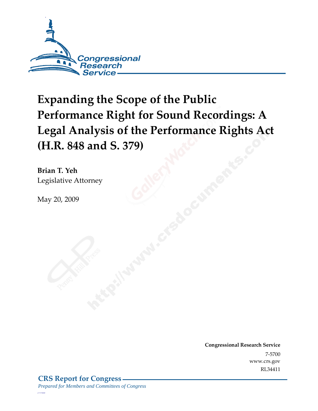

# **Expanding the Scope of the Public Performance Right for Sound Recordings: A Legal Analysis of the Performance Rights Act (H.R. 848 and S. 379)**

**Brian T. Yeh**  Legislative Attorney

May 20, 2009

**Congressional Research Service** 7-5700 www.crs.gov RL34411

*c11173008*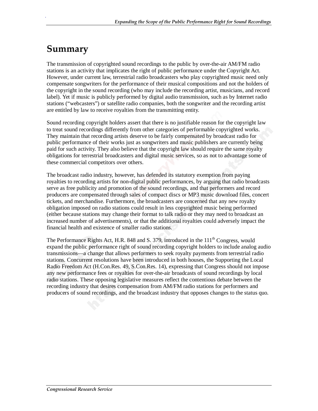### **Summary**

.

The transmission of copyrighted sound recordings to the public by over-the-air AM/FM radio stations is an activity that implicates the right of public performance under the Copyright Act. However, under current law, terrestrial radio broadcasters who play copyrighted music need only compensate songwriters for the performance of their musical compositions and not the holders of the copyright in the sound recording (who may include the recording artist, musicians, and record label). Yet if music is publicly performed by digital audio transmission, such as by Internet radio stations ("webcasters") or satellite radio companies, both the songwriter and the recording artist are entitled by law to receive royalties from the transmitting entity.

Sound recording copyright holders assert that there is no justifiable reason for the copyright law to treat sound recordings differently from other categories of performable copyrighted works. They maintain that recording artists deserve to be fairly compensated by broadcast radio for public performance of their works just as songwriters and music publishers are currently being paid for such activity. They also believe that the copyright law should require the same royalty obligations for terrestrial broadcasters and digital music services, so as not to advantage some of these commercial competitors over others.

The broadcast radio industry, however, has defended its statutory exemption from paying royalties to recording artists for non-digital public performances, by arguing that radio broadcasts serve as free publicity and promotion of the sound recordings, and that performers and record producers are compensated through sales of compact discs or MP3 music download files, concert tickets, and merchandise. Furthermore, the broadcasters are concerned that any new royalty obligation imposed on radio stations could result in less copyrighted music being performed (either because stations may change their format to talk radio or they may need to broadcast an increased number of advertisements), or that the additional royalties could adversely impact the financial health and existence of smaller radio stations.

The Performance Rights Act, H.R. 848 and S. 379, introduced in the  $111<sup>th</sup>$  Congress, would expand the public performance right of sound recording copyright holders to include analog audio transmissions—a change that allows performers to seek royalty payments from terrestrial radio stations. Concurrent resolutions have been introduced in both houses, the Supporting the Local Radio Freedom Act (H.Con.Res. 49, S.Con.Res. 14), expressing that Congress should not impose any new performance fees or royalties for over-the-air broadcasts of sound recordings by local radio stations. These opposing legislative measures reflect the contentious debate between the recording industry that desires compensation from AM/FM radio stations for performers and producers of sound recordings, and the broadcast industry that opposes changes to the status quo.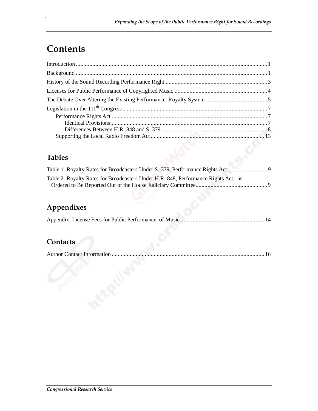## **Contents**

.

### **Tables**

| Table 2. Royalty Rates for Broadcasters Under H.R. 848, Performance Rights Act, as |  |
|------------------------------------------------------------------------------------|--|
|                                                                                    |  |

### **Appendixes**

### **Contacts**

|--|--|--|--|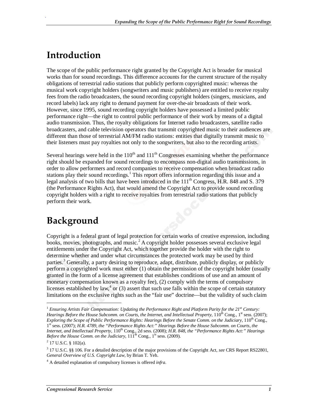## **Introduction**

.

The scope of the public performance right granted by the Copyright Act is broader for musical works than for sound recordings. This difference accounts for the current structure of the royalty obligations of terrestrial radio stations that publicly perform copyrighted music: whereas the musical work copyright holders (songwriters and music publishers) are entitled to receive royalty fees from the radio broadcasters, the sound recording copyright holders (singers, musicians, and record labels) lack any right to demand payment for over-the-air broadcasts of their work. However, since 1995, sound recording copyright holders have possessed a limited public performance right—the right to control public performance of their work by means of a digital audio transmission. Thus, the royalty obligations for Internet radio broadcasters, satellite radio broadcasters, and cable television operators that transmit copyrighted music to their audiences are different than those of terrestrial AM/FM radio stations: entities that digitally transmit music to their listeners must pay royalties not only to the songwriters, but also to the recording artists.

Several hearings were held in the  $110<sup>th</sup>$  and  $111<sup>th</sup>$  Congresses examining whether the performance right should be expanded for sound recordings to encompass non-digital audio transmissions, in order to allow performers and record companies to receive compensation when broadcast radio stations play their sound recordings.<sup>1</sup> This report offers information regarding this issue and a legal analysis of two bills that have been introduced in the  $111<sup>th</sup>$  Congress, H.R. 848 and S. 379 (the Performance Rights Act), that would amend the Copyright Act to provide sound recording copyright holders with a right to receive royalties from terrestrial radio stations that publicly perform their work.

## **Background**

Copyright is a federal grant of legal protection for certain works of creative expression, including books, movies, photographs, and music.<sup>2</sup> A copyright holder possesses several exclusive legal entitlements under the Copyright Act, which together provide the holder with the right to determine whether and under what circumstances the protected work may be used by third parties.<sup>3</sup> Generally, a party desiring to reproduce, adapt, distribute, publicly display, or publicly perform a copyrighted work must either (1) obtain the permission of the copyright holder (usually granted in the form of a license agreement that establishes conditions of use and an amount of monetary compensation known as a royalty fee), (2) comply with the terms of compulsory licenses established by  $law<sup>4</sup>$  or (3) assert that such use falls within the scope of certain statutory limitations on the exclusive rights such as the "fair use" doctrine—but the validity of such claim

1

<sup>1</sup> *Ensuring Artists Fair Compensation: Updating the Performance Right and Platform Parity for the 21st Century: Hearings Before the House Subcomm. on Courts, the Internet, and Intellectual Property,* 110<sup>th</sup> Cong., 1<sup>st</sup> sess. (2007); *Exploring the Scope of Public Performance Rights: Hearings Before the Senate Comm. on the Judiciary,*  $110^{th}$  Cong., 1st sess. (2007); *H.R. 4789, the "Performance Rights Act:" Hearings Before the House Subcomm. on Courts, the Internet, and Intellectual Property, 110<sup>th</sup> Cong., 2d sess. (2008); H.R. 848, the "Performance Rights Act:" Hearings Before the House Comm. on the Judiciary,*  $111^{th}$  Cong.,  $1^{st}$  sess. (2009).

 $2$  17 U.S.C. § 102(a).

<sup>3</sup> 17 U.S.C. §§ 106. For a detailed description of the major provisions of the Copyright Act, *see* CRS Report RS22801, *General Overview of U.S. Copyright Law*, by Brian T. Yeh.

<sup>4</sup> A detailed explanation of compulsory licenses is offered *infra*.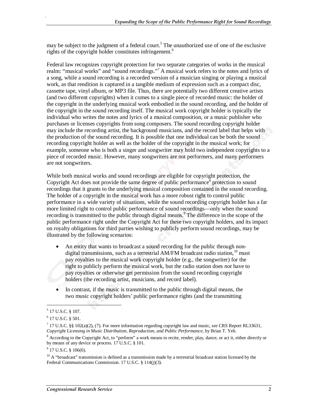may be subject to the judgment of a federal court.<sup>5</sup> The unauthorized use of one of the exclusive rights of the copyright holder constitutes infringement.<sup>6</sup>

Federal law recognizes copyright protection for two separate categories of works in the musical realm: "musical works" and "sound recordings."<sup>7</sup> A musical work refers to the notes and lyrics of a song, while a sound recording is a recorded version of a musician singing or playing a musical work, as that rendition is captured in a tangible medium of expression such as a compact disc, cassette tape, vinyl album, or MP3 file. Thus, there are potentially two different creative artists (and two different copyrights) when it comes to a single piece of recorded music: the holder of the copyright in the underlying musical work embodied in the sound recording, and the holder of the copyright in the sound recording itself. The musical work copyright holder is typically the individual who writes the notes and lyrics of a musical composition, or a music publisher who purchases or licenses copyrights from song composers. The sound recording copyright holder may include the recording artist, the background musicians, and the record label that helps with the production of the sound recording. It is possible that one individual can be both the sound recording copyright holder as well as the holder of the copyright in the musical work; for example, someone who is both a singer and songwriter may hold two independent copyrights to a piece of recorded music. However, many songwriters are not performers, and many performers are not songwriters.

While both musical works and sound recordings are eligible for copyright protection, the Copyright Act does not provide the same degree of public performance<sup>8</sup> protection to sound recordings that it grants to the underlying musical composition contained in the sound recording. The holder of a copyright in the musical work has a more robust right to control public performance in a wide variety of situations, while the sound recording copyright holder has a far more limited right to control public performance of sound recordings—only when the sound recording is transmitted to the public through digital means.<sup>9</sup> The difference in the scope of the public performance right under the Copyright Act for these two copyright holders, and its impact on royalty obligations for third parties wishing to publicly perform sound recordings, may be illustrated by the following scenarios:

- An entity that wants to broadcast a sound recording for the public through nondigital transmissions, such as a terrestrial AM/FM broadcast radio station,  $10$  must pay royalties to the musical work copyright holder (e.g., the songwriter) for the right to publicly perform the musical work, but the radio station does *not* have to pay royalties or otherwise get permission from the sound recording copyright holders (the recording artist, musicians, and record label).
- In contrast, if the music is transmitted to the public through digital means, the two music copyright holders' public performance rights (and the transmitting

1

<sup>5</sup> 17 U.S.C. § 107.

<sup>6</sup> 17 U.S.C. § 501.

<sup>7</sup> 17 U.S.C. §§ 102(a)(2), (7). For more information regarding copyright law and music, *see* CRS Report RL33631, *Copyright Licensing in Music Distribution, Reproduction, and Public Performance*, by Brian T. Yeh.

<sup>&</sup>lt;sup>8</sup> According to the Copyright Act, to "perform" a work means to recite, render, play, dance, or act it, either directly or by means of any device or process. 17 U.S.C. § 101.

 $9$  17 U.S.C. § 106(6).

 $10$  A "broadcast" transmission is defined as a transmission made by a terrestrial broadcast station licensed by the Federal Communications Commission. 17 U.S.C. § 114(j)(3).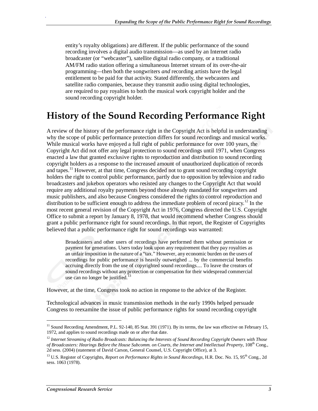entity's royalty obligations) are different. If the public performance of the sound recording involves a digital audio transmission—as used by an Internet radio broadcaster (or "webcaster"), satellite digital radio company, or a traditional AM/FM radio station offering a simultaneous Internet stream of its over-the-air programming—then both the songwriters *and* recording artists have the legal entitlement to be paid for that activity. Stated differently, the webcasters and satellite radio companies, because they transmit audio using digital technologies, are required to pay royalties to both the musical work copyright holder and the sound recording copyright holder.

### **History of the Sound Recording Performance Right**

A review of the history of the performance right in the Copyright Act is helpful in understanding why the scope of public performance protection differs for sound recordings and musical works. While musical works have enjoyed a full right of public performance for over 100 years, the Copyright Act did not offer any legal protection to sound recordings until 1971, when Congress enacted a law that granted exclusive rights to reproduction and distribution to sound recording copyright holders as a response to the increased amount of unauthorized duplication of records and tapes.<sup>11</sup> However, at that time, Congress decided not to grant sound recording copyright holders the right to control public performance, partly due to opposition by television and radio broadcasters and jukebox operators who resisted any changes to the Copyright Act that would require any additional royalty payments beyond those already mandated for songwriters and music publishers, and also because Congress considered the rights to control reproduction and distribution to be sufficient enough to address the immediate problem of record piracy.<sup>12</sup> In the most recent general revision of the Copyright Act in 1976, Congress directed the U.S. Copyright Office to submit a report by January 8, 1978, that would recommend whether Congress should grant a public performance right for sound recordings. In that report, the Register of Copyrights believed that a public performance right for sound recordings was warranted:

Broadcasters and other users of recordings have performed them without permission or payment for generations. Users today look upon any requirement that they pay royalties as an unfair imposition in the nature of a "tax." However, any economic burden on the users of recordings for public performance is heavily outweighed ... by the commercial benefits accruing directly from the use of copyrighted sound recordings.... To leave the creators of sound recordings without any protection or compensation for their widespread commercial use can no longer be justified.<sup>13</sup>

However, at the time, Congress took no action in response to the advice of the Register.

Technological advances in music transmission methods in the early 1990s helped persuade Congress to reexamine the issue of public performance rights for sound recording copyright

**.** 

<sup>&</sup>lt;sup>11</sup> Sound Recording Amendment, P.L. 92-140, 85 Stat. 391 (1971). By its terms, the law was effective on February 15, 1972, and applies to sound recordings made on or after that date.

<sup>&</sup>lt;sup>12</sup> Internet Streaming of Radio Broadcasts: Balancing the Interests of Sound Recording Copyright Owners with Those *of Broadcasters: Hearings Before the House Subcomm. on Courts, the Internet and Intellectual Property,* 108th Cong., 2d sess. (2004) (statement of David Carson, General Counsel, U.S. Copyright Office), at 3.

<sup>&</sup>lt;sup>13</sup> U.S. Register of Copyrights, *Report on Performance Rights in Sound Recordings*, H.R. Doc. No. 15, 95<sup>th</sup> Cong., 2d sess. 1063 (1978).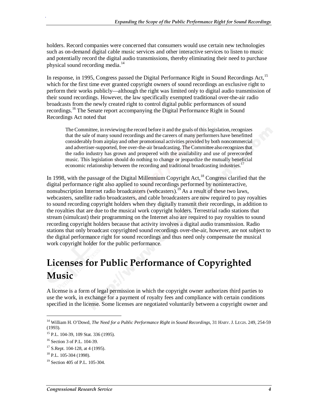holders. Record companies were concerned that consumers would use certain new technologies such as on-demand digital cable music services and other interactive services to listen to music and potentially record the digital audio transmissions, thereby eliminating their need to purchase physical sound recording media.<sup>14</sup>

In response, in 1995, Congress passed the Digital Performance Right in Sound Recordings Act,<sup>15</sup> which for the first time ever granted copyright owners of sound recordings an exclusive right to perform their works publicly—although the right was limited only to digital audio transmission of their sound recordings. However, the law specifically exempted traditional over-the-air radio broadcasts from the newly created right to control digital public performances of sound recordings.<sup>16</sup> The Senate report accompanying the Digital Performance Right in Sound Recordings Act noted that

The Committee, in reviewing the record before it and the goals of this legislation, recognizes that the sale of many sound recordings and the careers of many performers have benefitted considerably from airplay and other promotional activities provided by both noncommercial and advertiser-supported, free over-the-air broadcasting. The Committee also recognizes that the radio industry has grown and prospered with the availability and use of prerecorded music. This legislation should do nothing to change or jeopardize the mutually beneficial economic relationship between the recording and traditional broadcasting industries.<sup>17</sup>

In 1998, with the passage of the Digital Millennium Copyright Act,  $^{18}$  Congress clarified that the digital performance right also applied to sound recordings performed by noninteractive, nonsubscription Internet radio broadcasters (webcasters).<sup>19</sup> As a result of these two laws, webcasters, satellite radio broadcasters, and cable broadcasters are now required to pay royalties to sound recording copyright holders when they digitally transmit their recordings, in addition to the royalties that are due to the musical work copyright holders. Terrestrial radio stations that stream (simulcast) their programming on the Internet also are required to pay royalties to sound recording copyright holders because that activity involves a digital audio transmission. Radio stations that only broadcast copyrighted sound recordings over-the-air, however, are not subject to the digital performance right for sound recordings and thus need only compensate the musical work copyright holder for the public performance.

## **Licenses for Public Performance of Copyrighted Music**

A license is a form of legal permission in which the copyright owner authorizes third parties to use the work, in exchange for a payment of royalty fees and compliance with certain conditions specified in the license. Some licenses are negotiated voluntarily between a copyright owner and

1

<sup>&</sup>lt;sup>14</sup> William H. O'Dowd, *The Need for a Public Performance Right in Sound Recordings*, 31 HARV. J. LEGIS. 249, 254-59 (1993).

<sup>15</sup> P.L. 104-39, 109 Stat. 336 (1995).

<sup>16</sup> Section 3 of P.L. 104-39.

 $17$  S.Rept. 104-128, at 4 (1995).

<sup>18</sup> P.L. 105-304 (1998).

<sup>19</sup> Section 405 of P.L. 105-304.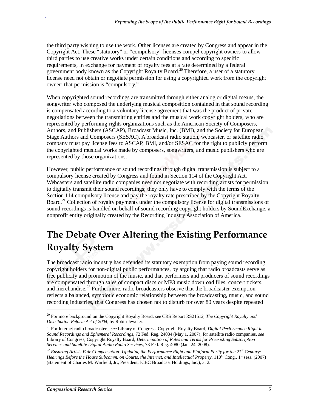the third party wishing to use the work. Other licenses are created by Congress and appear in the Copyright Act. These "statutory" or "compulsory" licenses compel copyright owners to allow third parties to use creative works under certain conditions and according to specific requirements, in exchange for payment of royalty fees at a rate determined by a federal government body known as the Copyright Royalty Board.20 Therefore, a user of a statutory license need not obtain or negotiate permission for using a copyrighted work from the copyright owner; that permission is "compulsory."

When copyrighted sound recordings are transmitted through either analog or digital means, the songwriter who composed the underlying musical composition contained in that sound recording is compensated according to a voluntary license agreement that was the product of private negotiations between the transmitting entities and the musical work copyright holders, who are represented by performing rights organizations such as the American Society of Composers, Authors, and Publishers (ASCAP), Broadcast Music, Inc. (BMI), and the Society for European Stage Authors and Composers (SESAC). A broadcast radio station, webcaster, or satellite radio company must pay license fees to ASCAP, BMI, and/or SESAC for the right to publicly perform the copyrighted musical works made by composers, songwriters, and music publishers who are represented by those organizations.

However, public performance of sound recordings through digital transmission is subject to a compulsory license created by Congress and found in Section 114 of the Copyright Act. Webcasters and satellite radio companies need not negotiate with recording artists for permission to digitally transmit their sound recordings; they only have to comply with the terms of the Section 114 compulsory license and pay the royalty rate prescribed by the Copyright Royalty Board.<sup>21</sup> Collection of royalty payments under the compulsory license for digital transmissions of sound recordings is handled on behalf of sound recording copyright holders by SoundExchange, a nonprofit entity originally created by the Recording Industry Association of America.

## **The Debate Over Altering the Existing Performance Royalty System**

The broadcast radio industry has defended its statutory exemption from paying sound recording copyright holders for non-digital public performances, by arguing that radio broadcasts serve as free publicity and promotion of the music, and that performers and producers of sound recordings are compensated through sales of compact discs or MP3 music download files, concert tickets, and merchandise.<sup>22</sup> Furthermore, radio broadcasters observe that the broadcaster exemption reflects a balanced, symbiotic economic relationship between the broadcasting, music, and sound recording industries, that Congress has chosen not to disturb for over 80 years despite repeated

**.** 

<sup>20</sup> For more background on the Copyright Royalty Board, *see* CRS Report RS21512, *The Copyright Royalty and Distribution Reform Act of 2004*, by Robin Jeweler.

<sup>21</sup> For Internet radio broadcasters, *see* Library of Congress, Copyright Royalty Board, *Digital Performance Right in Sound Recordings and Ephemeral Recordings,* 72 Fed. Reg. 24084 (May 1, 2007); for satellite radio companies, *see* Library of Congress, Copyright Royalty Board, *Determination of Rates and Terms for Preexisting Subscription Services and Satellite Digital Audio Radio Services*, 73 Fed. Reg. 4080 (Jan. 24, 2008).

<sup>22</sup> *Ensuring Artists Fair Compensation: Updating the Performance Right and Platform Parity for the 21st Century: Hearings Before the House Subcomm. on Courts, the Internet, and Intellectual Property,* 110<sup>th</sup> Cong., 1<sup>st</sup> sess. (2007) (statement of Charles M. Warfield, Jr., President, ICBC Broadcast Holdings, Inc.), at 2.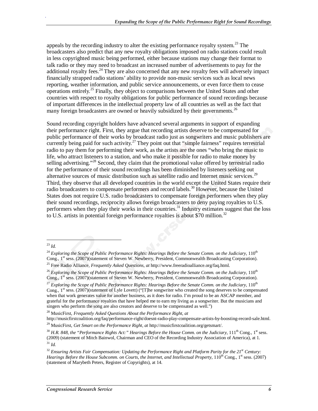appeals by the recording industry to alter the existing performance royalty system.<sup>23</sup> The broadcasters also predict that any new royalty obligations imposed on radio stations could result in less copyrighted music being performed, either because stations may change their format to talk radio or they may need to broadcast an increased number of advertisements to pay for the additional royalty fees.<sup>24</sup> They are also concerned that any new royalty fees will adversely impact financially strapped radio stations' ability to provide non-music services such as local news reporting, weather information, and public service announcements, or even force them to cease operations entirely.<sup>25</sup> Finally, they object to comparisons between the United States and other countries with respect to royalty obligations for public performance of sound recordings because of important differences in the intellectual property law of all countries as well as the fact that many foreign broadcasters are owned or heavily subsidized by their governments.<sup>26</sup>

Sound recording copyright holders have advanced several arguments in support of expanding their performance right. First, they argue that recording artists deserve to be compensated for public performance of their works by broadcast radio just as songwriters and music publishers are currently being paid for such activity.<sup>27</sup> They point out that "simple fairness" requires terrestrial radio to pay them for performing their work, as the artists are the ones "who bring the music to life, who attract listeners to a station, and who make it possible for radio to make money by selling advertising."<sup>28</sup> Second, they claim that the promotional value offered by terrestrial radio for the performance of their sound recordings has been diminished by listeners seeking out alternative sources of music distribution such as satellite radio and Internet music services.<sup>29</sup> Third, they observe that all developed countries in the world except the United States require their radio broadcasters to compensate performers and record labels.<sup>30</sup> However, because the United States does not require U.S. radio broadcasters to compensate foreign performers when they play their sound recordings, reciprocity allows foreign broadcasters to deny paying royalties to U.S. performers when they play their works in their countries.<sup>31</sup> Industry estimates suggest that the loss to U.S. artists in potential foreign performance royalties is about \$70 million.<sup>32</sup>

.

28 MusicFirst, *Frequently Asked Questions About the Performance Right*, *at*

http://musicfirstcoalition.org/faq/performance-right/doesnt-radio-play-compensate-artists-by-boosting-record-sale.html.

<sup>1</sup> <sup>23</sup> *Id.*

<sup>&</sup>lt;sup>24</sup> *Exploring the Scope of Public Performance Rights: Hearings Before the Senate Comm. on the Judiciary, 110<sup>th</sup> Cong., 1<sup>st</sup> sess. (2007)(statement of Steven W. Newberry, President, Commonwealth Broadcasting Corporation* 

<sup>&</sup>lt;sup>25</sup> Free Radio Alliance, *Frequently Asked Questions, at* http://www.freeradioalliance.org/faq.html.

<sup>&</sup>lt;sup>26</sup> Exploring the Scope of Public Performance Rights: Hearings Before the Senate Comm. on the Judiciary, 110<sup>th</sup> Cong., 1<sup>st</sup> sess. (2007)(statement of Steven W. Newberry, President, Commonwealth Broadcasting Corporation).

<sup>&</sup>lt;sup>27</sup> Exploring the Scope of Public Performance Rights: Hearings Before the Senate Comm. on the Judiciary, 110<sup>th</sup> Cong.,  $1<sup>st</sup>$  sess. (2007)(statement of Lyle Lovett) ("[T]he songwriter who created the song deserves to be compensated when that work generates value for another business, as it does for radio. I'm proud to be an ASCAP member, and grateful for the performance royalties that have helped me to earn my living as a songwriter. But the musicians and singers who perform the song are also creators and deserve to be compensated as well.")

<sup>29</sup> MusicFirst, *Get Smart on the Performance Right, at* http://musicfirstcoalition.org/getsmart/.

 $30$  H.R. 848, the "Performance Rights Act:" Hearings Before the House Comm. on the Judiciary,  $111^{\text{th}}$  Cong.,  $1^{\text{st}}$  sess. (2009) (statement of Mitch Bainwol, Chairman and CEO of the Recording Industry Association of America), at 1. <sup>31</sup> *Id.*

<sup>32</sup> *Ensuring Artists Fair Compensation: Updating the Performance Right and Platform Parity for the 21st Century: Hearings Before the House Subcomm. on Courts, the Internet, and Intellectual Property,* 110<sup>th</sup> Cong., 1<sup>st</sup> sess. (2007) (statement of Marybeth Peters, Register of Copyrights), at 14.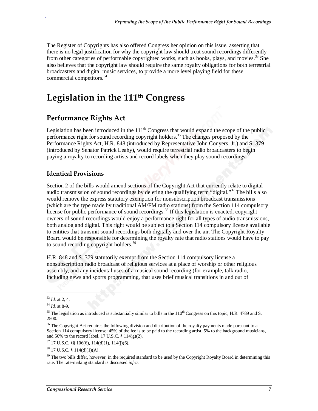The Register of Copyrights has also offered Congress her opinion on this issue, asserting that there is no legal justification for why the copyright law should treat sound recordings differently from other categories of performable copyrighted works, such as books, plays, and movies.<sup>33</sup> She also believes that the copyright law should require the same royalty obligations for both terrestrial broadcasters and digital music services, to provide a more level playing field for these commercial competitors.<sup>34</sup>

### **Legislation in the 111th Congress**

### **Performance Rights Act**

Legislation has been introduced in the  $111<sup>th</sup>$  Congress that would expand the scope of the public performance right for sound recording copyright holders.<sup>35</sup> The changes proposed by the Performance Rights Act, H.R. 848 (introduced by Representative John Conyers, Jr.) and S. 379 (introduced by Senator Patrick Leahy), would require terrestrial radio broadcasters to begin paying a royalty to recording artists and record labels when they play sound recordings.<sup>36</sup>

#### **Identical Provisions**

Section 2 of the bills would amend sections of the Copyright Act that currently relate to digital audio transmission of sound recordings by deleting the qualifying term "digital."<sup>37</sup> The bills also would remove the express statutory exemption for nonsubscription broadcast transmissions (which are the type made by traditional AM/FM radio stations) from the Section 114 compulsory license for public performance of sound recordings.<sup>38</sup> If this legislation is enacted, copyright owners of sound recordings would enjoy a performance right for all types of audio transmissions, both analog and digital. This right would be subject to a Section 114 compulsory license available to entities that transmit sound recordings both digitally and over the air. The Copyright Royalty Board would be responsible for determining the royalty rate that radio stations would have to pay to sound recording copyright holders.<sup>39</sup>

H.R. 848 and S. 379 statutorily exempt from the Section 114 compulsory license a nonsubscription radio broadcast of religious services at a place of worship or other religious assembly, and any incidental uses of a musical sound recording (for example, talk radio, including news and sports programming, that uses brief musical transitions in and out of

 $\overline{a}$ 

<sup>33</sup> *Id.* at 2, 4.

<sup>34</sup> *Id.* at 8-9.

<sup>&</sup>lt;sup>35</sup> The legislation as introduced is substantially similar to bills in the  $110<sup>th</sup>$  Congress on this topic, H.R. 4789 and S. 2500.

<sup>&</sup>lt;sup>36</sup> The Copyright Act requires the following division and distribution of the royalty payments made pursuant to a Section 114 compulsory license: 45% of the fee is to be paid to the recording artist, 5% to the background musicians, and 50% to the record label. 17 U.S.C. § 114(g)(2).

 $37$  17 U.S.C. §§ 106(6), 114(d)(1), 114(j)(6).

 $38$  17 U.S.C.  $\frac{114(d)(1)(A)}{A}$ .

<sup>&</sup>lt;sup>39</sup> The two bills differ, however, in the required standard to be used by the Copyright Royalty Board in determining this rate. The rate-making standard is discussed *infra.*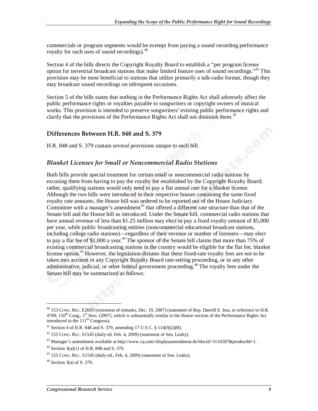commercials or program segments would be exempt from paying a sound recording performance royalty for such uses of sound recordings).40

Section 4 of the bills directs the Copyright Royalty Board to establish a "per program license option for terrestrial broadcast stations that make limited feature uses of sound recordings."<sup>41</sup> This provision may be most beneficial to stations that utilize primarily a talk-radio format, though they may broadcast sound recordings on infrequent occasions.

Section 5 of the bills states that nothing in the Performance Rights Act shall adversely affect the public performance rights or royalties payable to songwriters or copyright owners of musical works. This provision is intended to preserve songwriters' existing public performance rights and clarify that the provisions of the Performance Rights Act shall not diminish them.<sup>42</sup>

#### **Differences Between H.R. 848 and S. 379**

H.R. 848 and S. 379 contain several provisions unique to each bill.

#### *Blanket Licenses for Small or Noncommercial Radio Stations*

Both bills provide special treatment for certain small or noncommercial radio stations by excusing them from having to pay the royalty fee established by the Copyright Royalty Board; rather, qualifying stations would only need to pay a flat annual rate for a blanket license. Although the two bills were introduced in their respective houses containing the same fixed royalty rate amounts, the House bill was ordered to be reported out of the House Judiciary Committee with a manager's amendment<sup>43</sup> that offered a different rate structure than that of the Senate bill and the House bill as introduced. Under the Senate bill, commercial radio stations that have annual revenue of less than \$1.25 million may elect to pay a fixed royalty amount of \$5,000 per year, while public broadcasting entities (noncommercial educational broadcast stations, including college radio stations)—regardless of their revenue or number of listeners—may elect to pay a flat fee of \$1,000 a year.<sup>44</sup> The sponsor of the Senate bill claims that more than 75% of existing commercial broadcasting stations in the country would be eligible for the flat fee, blanket license option.45 However, the legislation dictates that these fixed-rate royalty fees are *not* to be taken into account in any Copyright Royalty Board rate-setting proceeding, or in any other administrative, judicial, or other federal government proceeding.<sup>46</sup> The royalty fees under the Senate bill may be summarized as follows:

**.** 

 $^{40}$  153 Cong. Rec. E2605 (extension of remarks, Dec. 19, 2007) (statement of Rep. Darrell E. Issa, in reference to H.R.  $4789, 110<sup>th</sup>$  Cong., 1<sup>st</sup> Sess. (2007), which is substantially similar to the House-version of the Performance Rights Act introduced in the  $111<sup>th</sup>$  Congress).

<sup>&</sup>lt;sup>41</sup> Section 4 of H.R. 848 and S. 379, amending 17 U.S.C. § 114(f)(2)(B).

 $42$  155 Cong. REC. S1545 (daily ed. Feb. 4, 2009) (statement of Sen. Leahy).

<sup>&</sup>lt;sup>43</sup> Manager's amendment available at http://www.cq.com//displayamendment.do?docid=3116587&productId=1.

 $44$  Section 3(a)(1) of H.R. 848 and S. 379.

<sup>45 155</sup> CONG. REC. S1545 (daily ed., Feb. 4, 2009) (statement of Sen. Leahy).

 $46$  Section 3(a) of S. 379.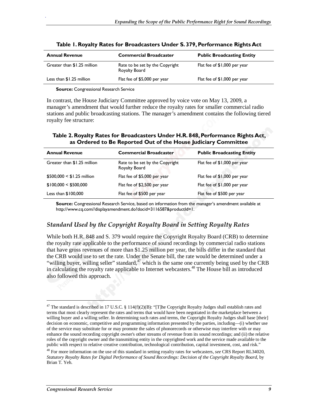| <b>Annual Revenue</b>       | <b>Commercial Broadcaster</b>                    | <b>Public Broadcasting Entity</b> |
|-----------------------------|--------------------------------------------------|-----------------------------------|
| Greater than \$1.25 million | Rate to be set by the Copyright<br>Royalty Board | Flat fee of \$1,000 per year      |
| Less than \$1.25 million    | Flat fee of \$5,000 per year                     | Flat fee of \$1,000 per year      |

|  |  |  |  |  |  | Table 1. Royalty Rates for Broadcasters Under S. 379, Performance Rights Act |  |
|--|--|--|--|--|--|------------------------------------------------------------------------------|--|
|--|--|--|--|--|--|------------------------------------------------------------------------------|--|

**Source:** Congressional Research Service

In contrast, the House Judiciary Committee approved by voice vote on May 13, 2009, a manager's amendment that would further reduce the royalty rates for smaller commercial radio stations and public broadcasting stations. The manager's amendment contains the following tiered royalty fee structure:

**Table 2. Royalty Rates for Broadcasters Under H.R. 848, Performance Rights Act, as Ordered to Be Reported Out of the House Judiciary Committee** 

| <b>Annual Revenue</b>       | <b>Commercial Broadcaster</b>                    | <b>Public Broadcasting Entity</b> |
|-----------------------------|--------------------------------------------------|-----------------------------------|
| Greater than \$1.25 million | Rate to be set by the Copyright<br>Royalty Board | Flat fee of \$1,000 per year      |
| $$500,000 < $1.25$ million  | Flat fee of \$5,000 per year                     | Flat fee of \$1,000 per year      |
| \$100,000 < \$500,000       | Flat fee of \$2,500 per year                     | Flat fee of \$1,000 per year      |
| Less than $$100,000$        | Flat fee of \$500 per year                       | Flat fee of \$500 per year        |

**Source:** Congressional Research Service, based on information from the manager's amendment available at http://www.cq.com//displayamendment.do?docid=3116587&productId=1.

#### *Standard Used by the Copyright Royalty Board in Setting Royalty Rates*

While both H.R. 848 and S. 379 would require the Copyright Royalty Board (CRB) to determine the royalty rate applicable to the performance of sound recordings by commercial radio stations that have gross revenues of more than \$1.25 million per year, the bills differ in the standard that the CRB would use to set the rate. Under the Senate bill, the rate would be determined under a "willing buyer, willing seller" standard,  $47$  which is the same one currently being used by the CRB in calculating the royalty rate applicable to Internet webcasters.<sup>48</sup> The House bill as introduced also followed this approach.

1

<sup>&</sup>lt;sup>47</sup> The standard is described in 17 U.S.C. § 114(f)(2)(B): "[T]he Copyright Royalty Judges shall establish rates and terms that most clearly represent the rates and terms that would have been negotiated in the marketplace between a willing buyer and a willing seller. In determining such rates and terms, the Copyright Royalty Judges shall base [their] decision on economic, competitive and programming information presented by the parties, including—(i) whether use of the service may substitute for or may promote the sales of phonorecords or otherwise may interfere with or may enhance the sound recording copyright owner's other streams of revenue from its sound recordings; and (ii) the relative roles of the copyright owner and the transmitting entity in the copyrighted work and the service made available to the public with respect to relative creative contribution, technological contribution, capital investment, cost, and risk."

<sup>48</sup> For more information on the use of this standard in setting royalty rates for webcasters, *see* CRS Report RL34020, *Statutory Royalty Rates for Digital Performance of Sound Recordings: Decision of the Copyright Royalty Board*, by Brian T. Yeh.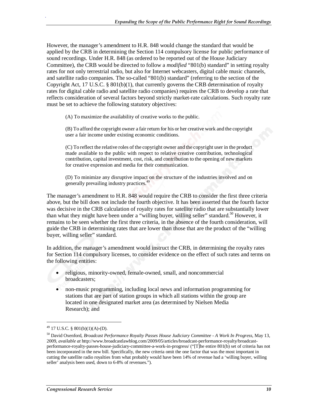However, the manager's amendment to H.R. 848 would change the standard that would be applied by the CRB in determining the Section 114 compulsory license for public performance of sound recordings. Under H.R. 848 (as ordered to be reported out of the House Judiciary Committee), the CRB would be directed to follow a *modified* "801(b) standard" in setting royalty rates for not only terrestrial radio, but also for Internet webcasters, digital cable music channels, and satellite radio companies. The so-called "801(b) standard" (referring to the section of the Copyright Act, 17 U.S.C. § 801(b)(1), that currently governs the CRB determination of royalty rates for digital cable radio and satellite radio companies) requires the CRB to develop a rate that reflects consideration of several factors beyond strictly market-rate calculations. Such royalty rate must be set to achieve the following statutory objectives:

(A) To maximize the availability of creative works to the public.

(B) To afford the copyright owner a fair return for his or her creative work and the copyright user a fair income under existing economic conditions.

(C) To reflect the relative roles of the copyright owner and the copyright user in the product made available to the public with respect to relative creative contribution, technological contribution, capital investment, cost, risk, and contribution to the opening of new markets for creative expression and media for their communication.

(D) To minimize any disruptive impact on the structure of the industries involved and on generally prevailing industry practices.49

The manager's amendment to H.R. 848 would require the CRB to consider the first three criteria above, but the bill does not include the fourth objective. It has been asserted that the fourth factor was decisive in the CRB calculation of royalty rates for satellite radio that are substantially lower than what they might have been under a "willing buyer, willing seller" standard.<sup>50</sup> However, it remains to be seen whether the first three criteria, in the absence of the fourth consideration, will guide the CRB in determining rates that are lower than those that are the product of the "willing buyer, willing seller" standard.

In addition, the manager's amendment would instruct the CRB, in determining the royalty rates for Section 114 compulsory licenses, to consider evidence on the effect of such rates and terms on the following entities:

- religious, minority-owned, female-owned, small, and noncommercial broadcasters;
- non-music programming, including local news and information programming for stations that are part of station groups in which all stations within the group are located in one designated market area (as determined by Nielsen Media Research); and

1

 $^{49}$  17 U.S.C. § 801(b)(1)(A)-(D).

<sup>50</sup> David Oxenford, *Broadcast Performance Royalty Passes House Judiciary Committee - A Work In Progress,* May 13, 2009, *available at* http://www.broadcastlawblog.com/2009/05/articles/broadcast-performance-royalty/broadcastperformance-royalty-passes-house-judiciary-committee-a-work-in-progress/ ("[T]he entire 801(b) set of criteria has not been incorporated in the new bill. Specifically, the new criteria omit the one factor that was the most important in cutting the satellite radio royalties from what probably would have been 14% of revenue had a 'willing buyer, willing seller' analysis been used, down to 6-8% of revenues.").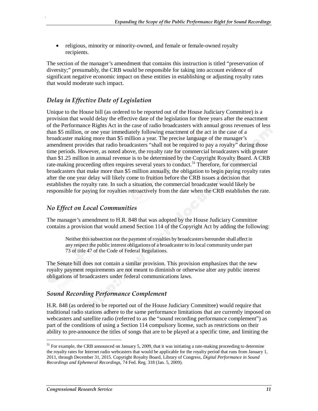• religious, minority or minority-owned, and female or female-owned royalty recipients.

The section of the manager's amendment that contains this instruction is titled "preservation of diversity;" presumably, the CRB would be responsible for taking into account evidence of significant negative economic impact on these entities in establishing or adjusting royalty rates that would moderate such impact.

#### *Delay in Effective Date of Legislation*

Unique to the House bill (as ordered to be reported out of the House Judiciary Committee) is a provision that would delay the effective date of the legislation for three years after the enactment of the Performance Rights Act in the case of radio broadcasters with annual gross revenues of less than \$5 million, or one year immediately following enactment of the act in the case of a broadcaster making more than \$5 million a year. The precise language of the manager's amendment provides that radio broadcasters "shall not be required to pay a royalty" during those time periods. However, as noted above, the royalty rate for commercial broadcasters with greater than \$1.25 million in annual revenue is to be determined by the Copyright Royalty Board. A CRB rate-making proceeding often requires several years to conduct.<sup>51</sup> Therefore, for commercial broadcasters that make more than \$5 million annually, the obligation to begin paying royalty rates after the one year delay will likely come to fruition before the CRB issues a decision that establishes the royalty rate. In such a situation, the commercial broadcaster would likely be responsible for paying for royalties retroactively from the date when the CRB establishes the rate.

#### *No Effect on Local Communities*

The manager's amendment to H.R. 848 that was adopted by the House Judiciary Committee contains a provision that would amend Section 114 of the Copyright Act by adding the following:

Neither this subsection nor the payment of royalties by broadcasters hereunder shall affect in any respect the public interest obligations of a broadcaster to its local community under part 73 of title 47 of the Code of Federal Regulations.

The Senate bill does not contain a similar provision. This provision emphasizes that the new royalty payment requirements are not meant to diminish or otherwise alter any public interest obligations of broadcasters under federal communications laws.

#### *Sound Recording Performance Complement*

H.R. 848 (as ordered to be reported out of the House Judiciary Committee) would require that traditional radio stations adhere to the same performance limitations that are currently imposed on webcasters and satellite radio (referred to as the "sound recording performance complement") as part of the conditions of using a Section 114 compulsory license, such as restrictions on their ability to pre-announce the titles of songs that are to be played at a specific time, and limiting the

1

<sup>&</sup>lt;sup>51</sup> For example, the CRB announced on January 5, 2009, that it was initiating a rate-making proceeding to determine the royalty rates for Internet radio webcasters that would be applicable for the royalty period that runs from January 1, 2011, through December 31, 2015. Copyright Royalty Board, Library of Congress, *Digital Performance in Sound Recordings and Ephemeral Recordings,* 74 Fed. Reg. 318 (Jan. 5, 2009).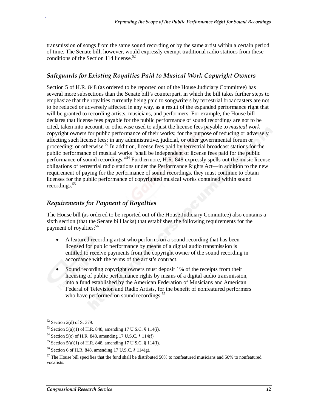transmission of songs from the same sound recording or by the same artist within a certain period of time. The Senate bill, however, would expressly exempt traditional radio stations from these conditions of the Section 114 license.<sup>52</sup>

#### *Safeguards for Existing Royalties Paid to Musical Work Copyright Owners*

Section 5 of H.R. 848 (as ordered to be reported out of the House Judiciary Committee) has several more subsections than the Senate bill's counterpart, in which the bill takes further steps to emphasize that the royalties currently being paid to songwriters by terrestrial broadcasters are not to be reduced or adversely affected in any way, as a result of the expanded performance right that will be granted to recording artists, musicians, and performers. For example, the House bill declares that license fees payable for the public performance of sound recordings are not to be cited, taken into account, or otherwise used to adjust the license fees payable to *musical work* copyright owners for public performance of their works; for the purpose of reducing or adversely affecting such license fees; in any administrative, judicial, or other governmental forum or proceeding; or otherwise.<sup>53</sup> In addition, license fees paid by terrestrial broadcast stations for the public performance of musical works "shall be independent of license fees paid for the public performance of sound recordings."<sup>54</sup> Furthermore, H.R. 848 expressly spells out the music license obligations of terrestrial radio stations under the Performance Rights Act—in addition to the new requirement of paying for the performance of sound recordings, they must continue to obtain licenses for the public performance of copyrighted musical works contained within sound recordings.<sup>55</sup>

#### *Requirements for Payment of Royalties*

The House bill (as ordered to be reported out of the House Judiciary Committee) also contains a sixth section (that the Senate bill lacks) that establishes the following requirements for the payment of royalties:<sup>56</sup>

- A featured recording artist who performs on a sound recording that has been licensed for public performance by means of a digital audio transmission is entitled to receive payments from the copyright owner of the sound recording in accordance with the terms of the artist's contract.
- Sound recording copyright owners must deposit 1% of the receipts from their licensing of public performance rights by means of a digital audio transmission, into a fund established by the American Federation of Musicians and American Federal of Television and Radio Artists, for the benefit of nonfeatured performers who have performed on sound recordings.<sup>57</sup>

1

 $52$  Section 2(d) of S. 379.

<sup>&</sup>lt;sup>53</sup> Section 5(a)(1) of H.R. 848, amending 17 U.S.C. § 114(i).

 $54$  Section 5(c) of H.R. 848, amending 17 U.S.C. § 114(f).

<sup>&</sup>lt;sup>55</sup> Section 5(a)(1) of H.R. 848, amending 17 U.S.C. § 114(i).

<sup>56</sup> Section 6 of H.R. 848, amending 17 U.S.C. § 114(g).

 $57$  The House bill specifies that the fund shall be distributed 50% to nonfeatured musicians and 50% to nonfeatured vocalists.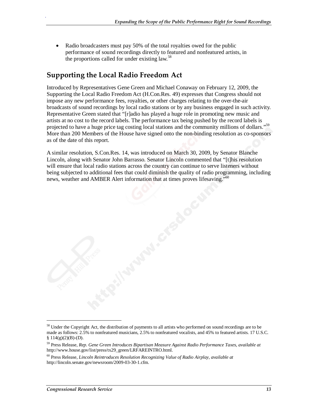• Radio broadcasters must pay 50% of the total royalties owed for the public performance of sound recordings directly to featured and nonfeatured artists, in the proportions called for under existing  $law<sup>58</sup>$ .

### **Supporting the Local Radio Freedom Act**

Introduced by Representatives Gene Green and Michael Conaway on February 12, 2009, the Supporting the Local Radio Freedom Act (H.Con.Res. 49) expresses that Congress should not impose any new performance fees, royalties, or other charges relating to the over-the-air broadcasts of sound recordings by local radio stations or by any business engaged in such activity. Representative Green stated that "[r]adio has played a huge role in promoting new music and artists at no cost to the record labels. The performance tax being pushed by the record labels is projected to have a huge price tag costing local stations and the community millions of dollars."<sup>59</sup> More than 200 Members of the House have signed onto the non-binding resolution as co-sponsors as of the date of this report.

A similar resolution, S.Con.Res. 14, was introduced on March 30, 2009, by Senator Blanche Lincoln, along with Senator John Barrasso. Senator Lincoln commented that "[t]his resolution will ensure that local radio stations across the country can continue to serve listeners without being subjected to additional fees that could diminish the quality of radio programming, including news, weather and AMBER Alert information that at times proves lifesaving."<sup>60</sup>

**.** 

<sup>&</sup>lt;sup>58</sup> Under the Copyright Act, the distribution of payments to all artists who performed on sound recordings are to be made as follows: 2.5% to nonfeatured musicians, 2.5% to nonfeatured vocalists, and 45% to featured artists. 17 U.S.C.  $$114(g)(2)(B)-(D).$ 

<sup>59</sup> Press Release, *Rep. Gene Green Introduces Bipartisan Measure Against Radio Performance Taxes, available at*  http://www.house.gov/list/press/tx29\_green/LRFAREINTRO.html.

<sup>60</sup> Press Release, *Lincoln Reintroduces Resolution Recognizing Value of Radio Airplay, available at*  http://lincoln.senate.gov/newsroom/2009-03-30-1.cfm.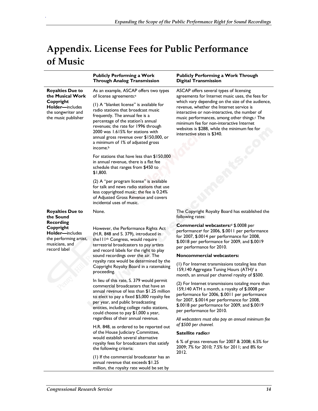## **Appendix. License Fees for Public Performance of Music**

|                                                                                                                                                      | <b>Publicly Performing a Work</b><br><b>Through Analog Transmission</b>                                                                                                                                                                                                                                                                                                                                                                                                                                                                                                                                                                                                                                                                                                                                                                                                                                                                                                                                      | <b>Publicly Performing a Work Through</b><br><b>Digital Transmission</b>                                                                                                                                                                                                                                                                                                                                                                                                                                                                                                                                                                                                                                                                                                                                                                                                                                                                                                                  |
|------------------------------------------------------------------------------------------------------------------------------------------------------|--------------------------------------------------------------------------------------------------------------------------------------------------------------------------------------------------------------------------------------------------------------------------------------------------------------------------------------------------------------------------------------------------------------------------------------------------------------------------------------------------------------------------------------------------------------------------------------------------------------------------------------------------------------------------------------------------------------------------------------------------------------------------------------------------------------------------------------------------------------------------------------------------------------------------------------------------------------------------------------------------------------|-------------------------------------------------------------------------------------------------------------------------------------------------------------------------------------------------------------------------------------------------------------------------------------------------------------------------------------------------------------------------------------------------------------------------------------------------------------------------------------------------------------------------------------------------------------------------------------------------------------------------------------------------------------------------------------------------------------------------------------------------------------------------------------------------------------------------------------------------------------------------------------------------------------------------------------------------------------------------------------------|
| <b>Royalties Due to</b><br>the Musical Work<br>Copyright<br><b>Holder</b> —includes<br>the songwriter and<br>the music publisher                     | As an example, ASCAP offers two types<br>of license agreements: <sup>a</sup><br>(1) A "blanket license" is available for<br>radio stations that broadcast music<br>frequently. The annual fee is a<br>percentage of the station's annual<br>revenues; the rate for 1996 through<br>2000 was 1.615% for stations with<br>annual gross revenue over \$150,000, or<br>a minimum of 1% of adjusted gross<br>income. <sup>b</sup><br>For stations that have less than \$150,000<br>in annual revenue, there is a flat fee<br>schedule that ranges from \$450 to<br>\$1,800.<br>(2) A "per program license" is available<br>for talk and news radio stations that use<br>less copyrighted music; the fee is 0.24%<br>of Adjusted Gross Revenue and covers<br>incidental uses of music.                                                                                                                                                                                                                             | ASCAP offers several types of licensing<br>agreements for Internet music uses, the fees for<br>which vary depending on the size of the audience,<br>revenue, whether the Internet service is<br>interactive or non-interactive, the number of<br>music performances, among other things. <sup>c</sup> The<br>minimum fee for non-interactive Internet<br>websites is \$288, while the minimum fee for<br>interactive sites is \$340.                                                                                                                                                                                                                                                                                                                                                                                                                                                                                                                                                      |
| <b>Royalties Due to</b><br>the Sound<br><b>Recording</b><br>Copyright<br>Holder-includes<br>the performing artist,<br>musicians, and<br>record label | None.<br>However, the Performance Rights Act<br>(H.R. 848 and S. 379), introduced in<br>the III <sup>th</sup> Congress, would require<br>terrestrial broadcasters to pay artists<br>and record labels for the right to play<br>sound recordings over the air. The<br>royalty rate would be determined by the<br>Copyright Royalty Board in a ratemaking<br>proceeding.<br>In lieu of this rate, S. 379 would permit<br>commercial broadcasters that have an<br>annual revenue of less than \$1.25 million<br>to elect to pay a fixed \$5,000 royalty fee<br>per year, and public broadcasting<br>entities, including college radio stations,<br>could choose to pay \$1,000 a year,<br>regardless of their annual revenue.<br>H.R. 848, as ordered to be reported out<br>of the House Judiciary Committee,<br>would establish several alternative<br>royalty fees for broadcasters that satisfy<br>the following criteria:<br>(1) If the commercial broadcaster has an<br>annual revenue that exceeds \$1.25 | The Copyright Royalty Board has established the<br>following rates:<br>Commercial webcasters: <sup>d</sup> \$.0008 per<br>performancee for 2006, \$.0011 per performance<br>for 2007, \$.0014 per performance for 2008,<br>\$.0018 per performance for 2009, and \$.0019<br>per performance for 2010.<br>Noncommercial webcasters:<br>(1) For Internet transmissions totaling less than<br>159,140 Aggregate Tuning Hours (ATH)f a<br>month, an annual per channel royalty of \$500.<br>(2) For Internet transmissions totaling more than<br>159, 140 ATH a month, a royalty of \$.0008 per<br>performance for 2006, \$.0011 per performance<br>for 2007, \$.0014 per performance for 2008,<br>\$.0018 per performance for 2009, and \$.0019<br>per performance for 2010.<br>All webcasters must also pay an annual minimum fee<br>of \$500 per channel.<br>Satellite radio:8<br>6 % of gross revenues for 2007 & 2008; 6.5% for<br>2009; 7% for 2010; 7.5% for 2011; and 8% for<br>2012. |

.

million, the royalty rate would be set by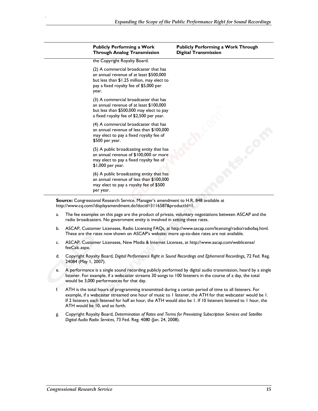| <b>Publicly Performing a Work</b><br><b>Through Analog Transmission</b>                                                                                                           | <b>Publicly Performing a Work Through</b><br><b>Digital Transmission</b> |  |
|-----------------------------------------------------------------------------------------------------------------------------------------------------------------------------------|--------------------------------------------------------------------------|--|
| the Copyright Royalty Board.                                                                                                                                                      |                                                                          |  |
| (2) A commercial broadcaster that has<br>an annual revenue of at least \$500,000<br>but less than \$1.25 million, may elect to<br>pay a fixed royalty fee of \$5,000 per<br>year. |                                                                          |  |
| (3) A commercial broadcaster that has<br>an annual revenue of at least \$100,000<br>but less than \$500,000 may elect to pay<br>a fixed royalty fee of \$2,500 per year.          |                                                                          |  |
| (4) A commercial broadcaster that has<br>an annual revenue of less than \$100,000<br>may elect to pay a fixed royalty fee of<br>$$500$ per year.                                  |                                                                          |  |
| (5) A public broadcasting entity that has<br>an annual revenue of \$100,000 or more<br>may elect to pay a fixed royalty fee of<br>\$1,000 per year.                               |                                                                          |  |
| (6) A public broadcasting entity that has<br>an annual revenue of less than \$100,000<br>may elect to pay a royalty fee of \$500<br>per year.                                     |                                                                          |  |

**Source:** Congressional Research Service. Manager's amendment to H.R. 848 available at http://www.cq.com//displayamendment.do?docid=3116587&productId=1.

- a. The fee examples on this page are the product of private, voluntary negotiations between ASCAP and the radio broadcasters. No government entity is involved in setting these rates.
- b. ASCAP, Customer Licensees, Radio Licensing FAQs, at http://www.ascap.com/licensing/radio/radiofaq.html. These are the rates now shown on ASCAP's website; more up-to-date rates are not available.
- c. ASCAP, Customer Licensees, New Media & Internet Licenses, at http://www.ascap.com/weblicense/ feeCalc.aspx.
- d. Copyright Royalty Board, *Digital Performance Right in Sound Recordings and Ephemeral Recordings,* 72 Fed. Reg. 24084 (May 1, 2007).
- e. A performance is a single sound recording publicly performed by digital audio transmission, heard by a single listener. For example, if a webcaster streams 30 songs to 100 listeners in the course of a day, the total would be 3,000 performances for that day.
- f. ATH is the total hours of programming transmitted during a certain period of time to all listeners. For example, if a webcaster streamed one hour of music to 1 listener, the ATH for that webcaster would be 1. If 2 listeners each listened for half an hour, the ATH would also be 1. If 10 listeners listened to 1 hour, the ATH would be 10, and so forth.
- g. Copyright Royalty Board, *Determination of Rates and Terms for Preexisting Subscription Services and Satellite Digital Audio Radio Services*, 73 Fed. Reg. 4080 (Jan. 24, 2008).